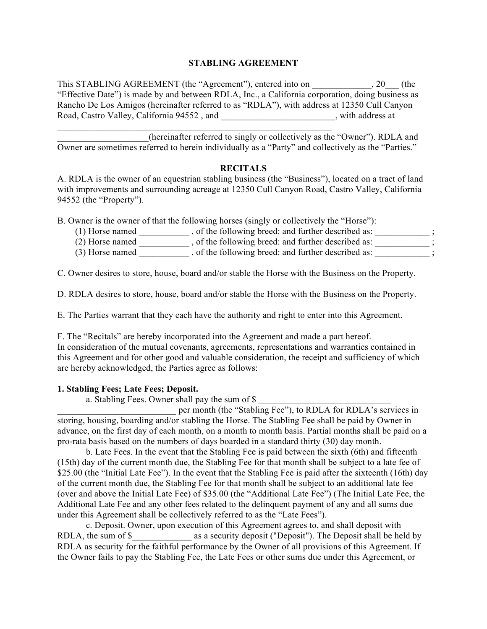# **STABLING AGREEMENT**

This STABLING AGREEMENT (the "Agreement"), entered into on  $\qquad \qquad$ , 20. "Effective Date") is made by and between RDLA, Inc., a California corporation, doing business as Rancho De Los Amigos (hereinafter referred to as "RDLA"), with address at 12350 Cull Canyon Road, Castro Valley, California 94552, and \_\_\_\_\_\_\_\_\_\_\_\_\_\_\_\_\_\_\_\_\_, with address at

\_\_\_\_\_\_\_\_\_\_\_\_\_\_\_\_\_\_\_\_(hereinafter referred to singly or collectively as the "Owner"). RDLA and Owner are sometimes referred to herein individually as a "Party" and collectively as the "Parties."

## **RECITALS**

A. RDLA is the owner of an equestrian stabling business (the "Business"), located on a tract of land with improvements and surrounding acreage at 12350 Cull Canyon Road, Castro Valley, California 94552 (the "Property").

B. Owner is the owner of that the following horses (singly or collectively the "Horse"):

\_\_\_\_\_\_\_\_\_\_\_\_\_\_\_\_\_\_\_\_\_\_\_\_\_\_\_\_\_\_\_\_\_\_\_\_\_\_\_\_\_\_\_\_\_\_\_\_\_\_\_\_\_\_\_\_\_\_\_\_

- (1) Horse named \_\_\_\_\_\_\_\_\_\_\_\_, of the following breed: and further described as: \_\_\_\_\_\_\_\_\_\_\_\_\_\_\_;
- (2) Horse named  $\overline{\phantom{a}}$ , of the following breed: and further described as:  $\overline{\phantom{a}}$ ;
- (3) Horse named  $\qquad \qquad$ , of the following breed: and further described as:  $\qquad \qquad$

C. Owner desires to store, house, board and/or stable the Horse with the Business on the Property.

D. RDLA desires to store, house, board and/or stable the Horse with the Business on the Property.

E. The Parties warrant that they each have the authority and right to enter into this Agreement.

F. The "Recitals" are hereby incorporated into the Agreement and made a part hereof. In consideration of the mutual covenants, agreements, representations and warranties contained in this Agreement and for other good and valuable consideration, the receipt and sufficiency of which are hereby acknowledged, the Parties agree as follows:

## **1. Stabling Fees; Late Fees; Deposit.**

a. Stabling Fees. Owner shall pay the sum of \$

per month (the "Stabling Fee"), to RDLA for RDLA's services in storing, housing, boarding and/or stabling the Horse. The Stabling Fee shall be paid by Owner in advance, on the first day of each month, on a month to month basis. Partial months shall be paid on a pro-rata basis based on the numbers of days boarded in a standard thirty (30) day month.

b. Late Fees. In the event that the Stabling Fee is paid between the sixth (6th) and fifteenth (15th) day of the current month due, the Stabling Fee for that month shall be subject to a late fee of \$25.00 (the "Initial Late Fee"). In the event that the Stabling Fee is paid after the sixteenth (16th) day of the current month due, the Stabling Fee for that month shall be subject to an additional late fee (over and above the Initial Late Fee) of \$35.00 (the "Additional Late Fee") (The Initial Late Fee, the Additional Late Fee and any other fees related to the delinquent payment of any and all sums due under this Agreement shall be collectively referred to as the "Late Fees").

c. Deposit. Owner, upon execution of this Agreement agrees to, and shall deposit with RDLA, the sum of \$\_\_\_\_\_\_\_\_\_\_\_\_\_\_\_\_\_\_ as a security deposit ("Deposit"). The Deposit shall be held by RDLA as security for the faithful performance by the Owner of all provisions of this Agreement. If the Owner fails to pay the Stabling Fee, the Late Fees or other sums due under this Agreement, or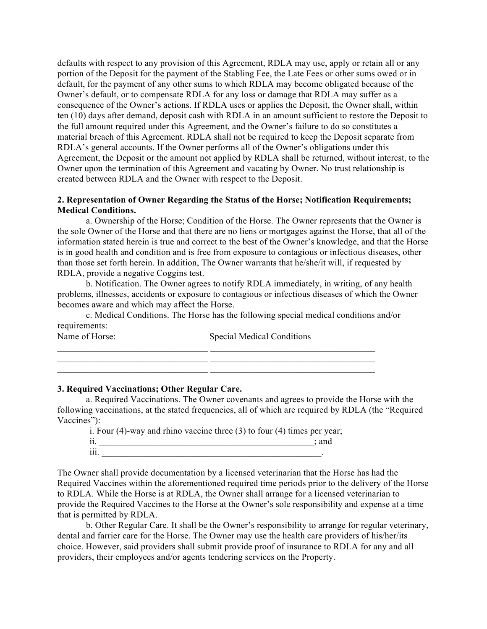defaults with respect to any provision of this Agreement, RDLA may use, apply or retain all or any portion of the Deposit for the payment of the Stabling Fee, the Late Fees or other sums owed or in default, for the payment of any other sums to which RDLA may become obligated because of the Owner's default, or to compensate RDLA for any loss or damage that RDLA may suffer as a consequence of the Owner's actions. If RDLA uses or applies the Deposit, the Owner shall, within ten (10) days after demand, deposit cash with RDLA in an amount sufficient to restore the Deposit to the full amount required under this Agreement, and the Owner's failure to do so constitutes a material breach of this Agreement. RDLA shall not be required to keep the Deposit separate from RDLA's general accounts. If the Owner performs all of the Owner's obligations under this Agreement, the Deposit or the amount not applied by RDLA shall be returned, without interest, to the Owner upon the termination of this Agreement and vacating by Owner. No trust relationship is created between RDLA and the Owner with respect to the Deposit.

# **2. Representation of Owner Regarding the Status of the Horse; Notification Requirements; Medical Conditions.**

a. Ownership of the Horse; Condition of the Horse. The Owner represents that the Owner is the sole Owner of the Horse and that there are no liens or mortgages against the Horse, that all of the information stated herein is true and correct to the best of the Owner's knowledge, and that the Horse is in good health and condition and is free from exposure to contagious or infectious diseases, other than those set forth herein. In addition, The Owner warrants that he/she/it will, if requested by RDLA, provide a negative Coggins test.

b. Notification. The Owner agrees to notify RDLA immediately, in writing, of any health problems, illnesses, accidents or exposure to contagious or infectious diseases of which the Owner becomes aware and which may affect the Horse.

c. Medical Conditions. The Horse has the following special medical conditions and/or requirements:

 $\mathcal{L}_\text{max} = \frac{1}{2} \sum_{i=1}^n \mathcal{L}_\text{max}(\mathbf{z}_i - \mathbf{z}_i)$ 

Name of Horse: Special Medical Conditions

### **3. Required Vaccinations; Other Regular Care.**

a. Required Vaccinations. The Owner covenants and agrees to provide the Horse with the following vaccinations, at the stated frequencies, all of which are required by RDLA (the "Required Vaccines"):

\_\_\_\_\_\_\_\_\_\_\_\_\_\_\_\_\_\_\_\_\_\_\_\_\_\_\_\_\_\_\_\_\_ \_\_\_\_\_\_\_\_\_\_\_\_\_\_\_\_\_\_\_\_\_\_\_\_\_\_\_\_\_\_\_\_\_\_\_\_ \_\_\_\_\_\_\_\_\_\_\_\_\_\_\_\_\_\_\_\_\_\_\_\_\_\_\_\_\_\_\_\_\_ \_\_\_\_\_\_\_\_\_\_\_\_\_\_\_\_\_\_\_\_\_\_\_\_\_\_\_\_\_\_\_\_\_\_\_\_

i. Four (4)-way and rhino vaccine three (3) to four (4) times per year;

 $ii.$   $\frac{1}{\sqrt{2}}$  and  $\frac{1}{\sqrt{2}}$  and  $\frac{1}{\sqrt{2}}$  and  $\frac{1}{\sqrt{2}}$  and  $\frac{1}{\sqrt{2}}$  and  $\frac{1}{\sqrt{2}}$  and  $\frac{1}{\sqrt{2}}$  and  $\frac{1}{\sqrt{2}}$  and  $\frac{1}{\sqrt{2}}$  and  $\frac{1}{\sqrt{2}}$  and  $\frac{1}{\sqrt{2}}$  and  $\frac{1}{\sqrt{2}}$  and  $\frac{1}{\sqrt{2}}$ 

 $\overline{\textbf{iii}}$ .

The Owner shall provide documentation by a licensed veterinarian that the Horse has had the Required Vaccines within the aforementioned required time periods prior to the delivery of the Horse to RDLA. While the Horse is at RDLA, the Owner shall arrange for a licensed veterinarian to provide the Required Vaccines to the Horse at the Owner's sole responsibility and expense at a time that is permitted by RDLA.

b. Other Regular Care. It shall be the Owner's responsibility to arrange for regular veterinary, dental and farrier care for the Horse. The Owner may use the health care providers of his/her/its choice. However, said providers shall submit provide proof of insurance to RDLA for any and all providers, their employees and/or agents tendering services on the Property.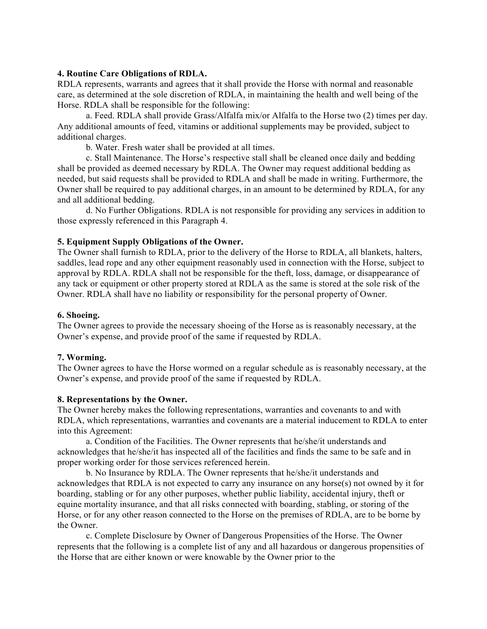## **4. Routine Care Obligations of RDLA.**

RDLA represents, warrants and agrees that it shall provide the Horse with normal and reasonable care, as determined at the sole discretion of RDLA, in maintaining the health and well being of the Horse. RDLA shall be responsible for the following:

a. Feed. RDLA shall provide Grass/Alfalfa mix/or Alfalfa to the Horse two (2) times per day. Any additional amounts of feed, vitamins or additional supplements may be provided, subject to additional charges.

b. Water. Fresh water shall be provided at all times.

c. Stall Maintenance. The Horse's respective stall shall be cleaned once daily and bedding shall be provided as deemed necessary by RDLA. The Owner may request additional bedding as needed, but said requests shall be provided to RDLA and shall be made in writing. Furthermore, the Owner shall be required to pay additional charges, in an amount to be determined by RDLA, for any and all additional bedding.

d. No Further Obligations. RDLA is not responsible for providing any services in addition to those expressly referenced in this Paragraph 4.

## **5. Equipment Supply Obligations of the Owner.**

The Owner shall furnish to RDLA, prior to the delivery of the Horse to RDLA, all blankets, halters, saddles, lead rope and any other equipment reasonably used in connection with the Horse, subject to approval by RDLA. RDLA shall not be responsible for the theft, loss, damage, or disappearance of any tack or equipment or other property stored at RDLA as the same is stored at the sole risk of the Owner. RDLA shall have no liability or responsibility for the personal property of Owner.

### **6. Shoeing.**

The Owner agrees to provide the necessary shoeing of the Horse as is reasonably necessary, at the Owner's expense, and provide proof of the same if requested by RDLA.

#### **7. Worming.**

The Owner agrees to have the Horse wormed on a regular schedule as is reasonably necessary, at the Owner's expense, and provide proof of the same if requested by RDLA.

### **8. Representations by the Owner.**

The Owner hereby makes the following representations, warranties and covenants to and with RDLA, which representations, warranties and covenants are a material inducement to RDLA to enter into this Agreement:

a. Condition of the Facilities. The Owner represents that he/she/it understands and acknowledges that he/she/it has inspected all of the facilities and finds the same to be safe and in proper working order for those services referenced herein.

b. No Insurance by RDLA. The Owner represents that he/she/it understands and acknowledges that RDLA is not expected to carry any insurance on any horse(s) not owned by it for boarding, stabling or for any other purposes, whether public liability, accidental injury, theft or equine mortality insurance, and that all risks connected with boarding, stabling, or storing of the Horse, or for any other reason connected to the Horse on the premises of RDLA, are to be borne by the Owner.

c. Complete Disclosure by Owner of Dangerous Propensities of the Horse. The Owner represents that the following is a complete list of any and all hazardous or dangerous propensities of the Horse that are either known or were knowable by the Owner prior to the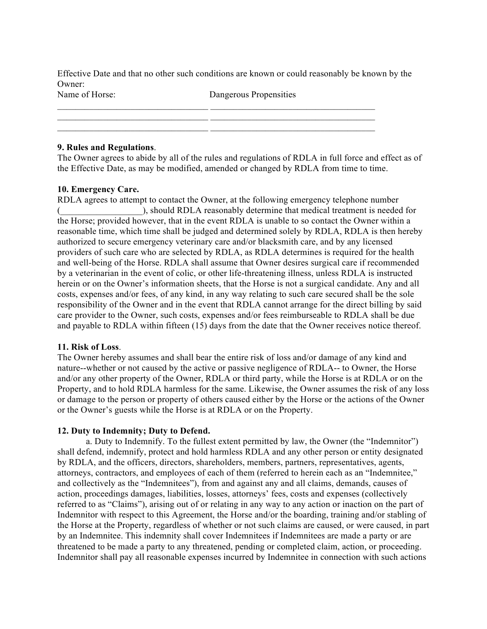Effective Date and that no other such conditions are known or could reasonably be known by the Owner:

 $\_$  , and the state of the state of the state of the state of the state of the state of the state of the state of the state of the state of the state of the state of the state of the state of the state of the state of the

 $\_$  , and the state of the state of the state of the state of the state of the state of the state of the state of the state of the state of the state of the state of the state of the state of the state of the state of the

Name of Horse: Dangerous Propensities

## **9. Rules and Regulations**.

The Owner agrees to abide by all of the rules and regulations of RDLA in full force and effect as of the Effective Date, as may be modified, amended or changed by RDLA from time to time.

# **10. Emergency Care.**

RDLA agrees to attempt to contact the Owner, at the following emergency telephone number ), should RDLA reasonably determine that medical treatment is needed for the Horse; provided however, that in the event RDLA is unable to so contact the Owner within a reasonable time, which time shall be judged and determined solely by RDLA, RDLA is then hereby authorized to secure emergency veterinary care and/or blacksmith care, and by any licensed providers of such care who are selected by RDLA, as RDLA determines is required for the health and well-being of the Horse. RDLA shall assume that Owner desires surgical care if recommended by a veterinarian in the event of colic, or other life-threatening illness, unless RDLA is instructed herein or on the Owner's information sheets, that the Horse is not a surgical candidate. Any and all costs, expenses and/or fees, of any kind, in any way relating to such care secured shall be the sole responsibility of the Owner and in the event that RDLA cannot arrange for the direct billing by said care provider to the Owner, such costs, expenses and/or fees reimburseable to RDLA shall be due and payable to RDLA within fifteen (15) days from the date that the Owner receives notice thereof.

## **11. Risk of Loss**.

The Owner hereby assumes and shall bear the entire risk of loss and/or damage of any kind and nature--whether or not caused by the active or passive negligence of RDLA-- to Owner, the Horse and/or any other property of the Owner, RDLA or third party, while the Horse is at RDLA or on the Property, and to hold RDLA harmless for the same. Likewise, the Owner assumes the risk of any loss or damage to the person or property of others caused either by the Horse or the actions of the Owner or the Owner's guests while the Horse is at RDLA or on the Property.

## **12. Duty to Indemnity; Duty to Defend.**

a. Duty to Indemnify. To the fullest extent permitted by law, the Owner (the "Indemnitor") shall defend, indemnify, protect and hold harmless RDLA and any other person or entity designated by RDLA, and the officers, directors, shareholders, members, partners, representatives, agents, attorneys, contractors, and employees of each of them (referred to herein each as an "Indemnitee," and collectively as the "Indemnitees"), from and against any and all claims, demands, causes of action, proceedings damages, liabilities, losses, attorneys' fees, costs and expenses (collectively referred to as "Claims"), arising out of or relating in any way to any action or inaction on the part of Indemnitor with respect to this Agreement, the Horse and/or the boarding, training and/or stabling of the Horse at the Property, regardless of whether or not such claims are caused, or were caused, in part by an Indemnitee. This indemnity shall cover Indemnitees if Indemnitees are made a party or are threatened to be made a party to any threatened, pending or completed claim, action, or proceeding. Indemnitor shall pay all reasonable expenses incurred by Indemnitee in connection with such actions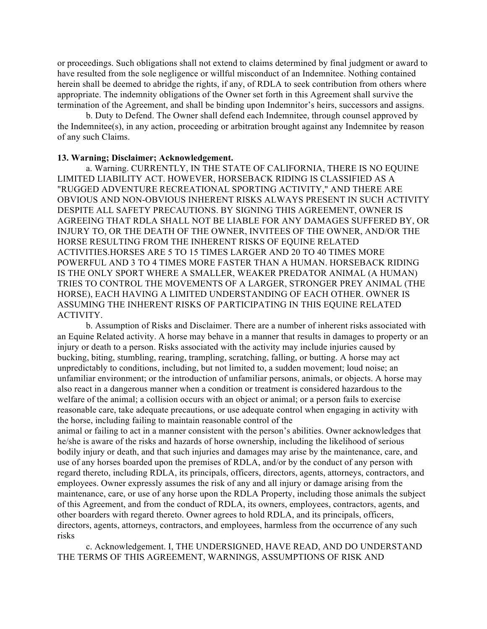or proceedings. Such obligations shall not extend to claims determined by final judgment or award to have resulted from the sole negligence or willful misconduct of an Indemnitee. Nothing contained herein shall be deemed to abridge the rights, if any, of RDLA to seek contribution from others where appropriate. The indemnity obligations of the Owner set forth in this Agreement shall survive the termination of the Agreement, and shall be binding upon Indemnitor's heirs, successors and assigns.

b. Duty to Defend. The Owner shall defend each Indemnitee, through counsel approved by the Indemnitee(s), in any action, proceeding or arbitration brought against any Indemnitee by reason of any such Claims.

### **13. Warning; Disclaimer; Acknowledgement.**

a. Warning. CURRENTLY, IN THE STATE OF CALIFORNIA, THERE IS NO EQUINE LIMITED LIABILITY ACT. HOWEVER, HORSEBACK RIDING IS CLASSIFIED AS A "RUGGED ADVENTURE RECREATIONAL SPORTING ACTIVITY," AND THERE ARE OBVIOUS AND NON-OBVIOUS INHERENT RISKS ALWAYS PRESENT IN SUCH ACTIVITY DESPITE ALL SAFETY PRECAUTIONS. BY SIGNING THIS AGREEMENT, OWNER IS AGREEING THAT RDLA SHALL NOT BE LIABLE FOR ANY DAMAGES SUFFERED BY, OR INJURY TO, OR THE DEATH OF THE OWNER, INVITEES OF THE OWNER, AND/OR THE HORSE RESULTING FROM THE INHERENT RISKS OF EQUINE RELATED ACTIVITIES.HORSES ARE 5 TO 15 TIMES LARGER AND 20 TO 40 TIMES MORE POWERFUL AND 3 TO 4 TIMES MORE FASTER THAN A HUMAN. HORSEBACK RIDING IS THE ONLY SPORT WHERE A SMALLER, WEAKER PREDATOR ANIMAL (A HUMAN) TRIES TO CONTROL THE MOVEMENTS OF A LARGER, STRONGER PREY ANIMAL (THE HORSE), EACH HAVING A LIMITED UNDERSTANDING OF EACH OTHER. OWNER IS ASSUMING THE INHERENT RISKS OF PARTICIPATING IN THIS EQUINE RELATED ACTIVITY.

b. Assumption of Risks and Disclaimer. There are a number of inherent risks associated with an Equine Related activity. A horse may behave in a manner that results in damages to property or an injury or death to a person. Risks associated with the activity may include injuries caused by bucking, biting, stumbling, rearing, trampling, scratching, falling, or butting. A horse may act unpredictably to conditions, including, but not limited to, a sudden movement; loud noise; an unfamiliar environment; or the introduction of unfamiliar persons, animals, or objects. A horse may also react in a dangerous manner when a condition or treatment is considered hazardous to the welfare of the animal; a collision occurs with an object or animal; or a person fails to exercise reasonable care, take adequate precautions, or use adequate control when engaging in activity with the horse, including failing to maintain reasonable control of the

animal or failing to act in a manner consistent with the person's abilities. Owner acknowledges that he/she is aware of the risks and hazards of horse ownership, including the likelihood of serious bodily injury or death, and that such injuries and damages may arise by the maintenance, care, and use of any horses boarded upon the premises of RDLA, and/or by the conduct of any person with regard thereto, including RDLA, its principals, officers, directors, agents, attorneys, contractors, and employees. Owner expressly assumes the risk of any and all injury or damage arising from the maintenance, care, or use of any horse upon the RDLA Property, including those animals the subject of this Agreement, and from the conduct of RDLA, its owners, employees, contractors, agents, and other boarders with regard thereto. Owner agrees to hold RDLA, and its principals, officers, directors, agents, attorneys, contractors, and employees, harmless from the occurrence of any such risks

c. Acknowledgement. I, THE UNDERSIGNED, HAVE READ, AND DO UNDERSTAND THE TERMS OF THIS AGREEMENT, WARNINGS, ASSUMPTIONS OF RISK AND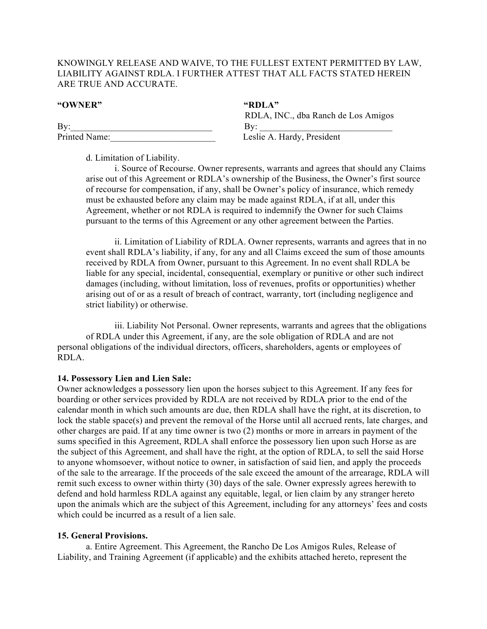# KNOWINGLY RELEASE AND WAIVE, TO THE FULLEST EXTENT PERMITTED BY LAW, LIABILITY AGAINST RDLA. I FURTHER ATTEST THAT ALL FACTS STATED HEREIN ARE TRUE AND ACCURATE.

| "RDLA"                              |
|-------------------------------------|
| RDLA, INC., dba Ranch de Los Amigos |
| Bv:                                 |
| Leslie A. Hardy, President          |
|                                     |

d. Limitation of Liability.

i. Source of Recourse. Owner represents, warrants and agrees that should any Claims arise out of this Agreement or RDLA's ownership of the Business, the Owner's first source of recourse for compensation, if any, shall be Owner's policy of insurance, which remedy must be exhausted before any claim may be made against RDLA, if at all, under this Agreement, whether or not RDLA is required to indemnify the Owner for such Claims pursuant to the terms of this Agreement or any other agreement between the Parties.

ii. Limitation of Liability of RDLA. Owner represents, warrants and agrees that in no event shall RDLA's liability, if any, for any and all Claims exceed the sum of those amounts received by RDLA from Owner, pursuant to this Agreement. In no event shall RDLA be liable for any special, incidental, consequential, exemplary or punitive or other such indirect damages (including, without limitation, loss of revenues, profits or opportunities) whether arising out of or as a result of breach of contract, warranty, tort (including negligence and strict liability) or otherwise.

iii. Liability Not Personal. Owner represents, warrants and agrees that the obligations of RDLA under this Agreement, if any, are the sole obligation of RDLA and are not personal obligations of the individual directors, officers, shareholders, agents or employees of RDLA.

## **14. Possessory Lien and Lien Sale:**

Owner acknowledges a possessory lien upon the horses subject to this Agreement. If any fees for boarding or other services provided by RDLA are not received by RDLA prior to the end of the calendar month in which such amounts are due, then RDLA shall have the right, at its discretion, to lock the stable space(s) and prevent the removal of the Horse until all accrued rents, late charges, and other charges are paid. If at any time owner is two (2) months or more in arrears in payment of the sums specified in this Agreement, RDLA shall enforce the possessory lien upon such Horse as are the subject of this Agreement, and shall have the right, at the option of RDLA, to sell the said Horse to anyone whomsoever, without notice to owner, in satisfaction of said lien, and apply the proceeds of the sale to the arrearage. If the proceeds of the sale exceed the amount of the arrearage, RDLA will remit such excess to owner within thirty (30) days of the sale. Owner expressly agrees herewith to defend and hold harmless RDLA against any equitable, legal, or lien claim by any stranger hereto upon the animals which are the subject of this Agreement, including for any attorneys' fees and costs which could be incurred as a result of a lien sale.

## **15. General Provisions.**

a. Entire Agreement. This Agreement, the Rancho De Los Amigos Rules, Release of Liability, and Training Agreement (if applicable) and the exhibits attached hereto, represent the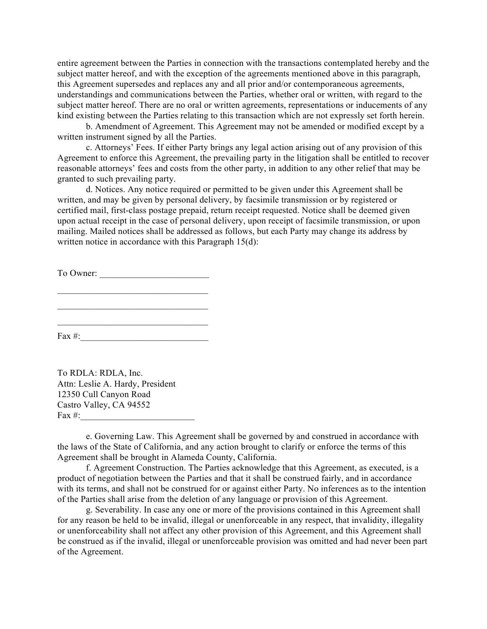entire agreement between the Parties in connection with the transactions contemplated hereby and the subject matter hereof, and with the exception of the agreements mentioned above in this paragraph, this Agreement supersedes and replaces any and all prior and/or contemporaneous agreements, understandings and communications between the Parties, whether oral or written, with regard to the subject matter hereof. There are no oral or written agreements, representations or inducements of any kind existing between the Parties relating to this transaction which are not expressly set forth herein.

b. Amendment of Agreement. This Agreement may not be amended or modified except by a written instrument signed by all the Parties.

c. Attorneys' Fees. If either Party brings any legal action arising out of any provision of this Agreement to enforce this Agreement, the prevailing party in the litigation shall be entitled to recover reasonable attorneys' fees and costs from the other party, in addition to any other relief that may be granted to such prevailing party.

d. Notices. Any notice required or permitted to be given under this Agreement shall be written, and may be given by personal delivery, by facsimile transmission or by registered or certified mail, first-class postage prepaid, return receipt requested. Notice shall be deemed given upon actual receipt in the case of personal delivery, upon receipt of facsimile transmission, or upon mailing. Mailed notices shall be addressed as follows, but each Party may change its address by written notice in accordance with this Paragraph 15(d):

To Owner:

 $\mathcal{L}_\text{max}$  $\mathcal{L}_\text{max}$  $\mathcal{L}_\text{max}$ 

Fax #:

To RDLA: RDLA, Inc. Attn: Leslie A. Hardy, President 12350 Cull Canyon Road Castro Valley, CA 94552 Fax  $#$ :

e. Governing Law. This Agreement shall be governed by and construed in accordance with the laws of the State of California, and any action brought to clarify or enforce the terms of this Agreement shall be brought in Alameda County, California.

f. Agreement Construction. The Parties acknowledge that this Agreement, as executed, is a product of negotiation between the Parties and that it shall be construed fairly, and in accordance with its terms, and shall not be construed for or against either Party. No inferences as to the intention of the Parties shall arise from the deletion of any language or provision of this Agreement.

g. Severability. In case any one or more of the provisions contained in this Agreement shall for any reason be held to be invalid, illegal or unenforceable in any respect, that invalidity, illegality or unenforceability shall not affect any other provision of this Agreement, and this Agreement shall be construed as if the invalid, illegal or unenforceable provision was omitted and had never been part of the Agreement.